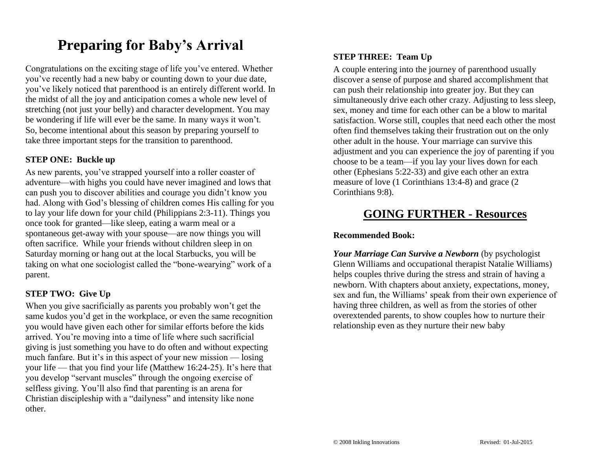## **Preparing for Baby's Arrival**

Congratulations on the exciting stage of life you've entered. Whether you've recently had a new baby or counting down to your due date, you've likely noticed that parenthood is an entirely different world. In the midst of all the joy and anticipation comes a whole new level of stretching (not just your belly) and character development. You may be wondering if life will ever be the same. In many ways it won't. So, become intentional about this season by preparing yourself to take three important steps for the transition to parenthood.

#### **STEP ONE: Buckle up**

As new parents, you've strapped yourself into a roller coaster of adventure—with highs you could have never imagined and lows that can push you to discover abilities and courage you didn't know you had. Along with God's blessing of children comes His calling for you to lay your life down for your child (Philippians 2:3-11). Things you once took for granted—like sleep, eating a warm meal or a spontaneous get-away with your spouse—are now things you will often sacrifice. While your friends without children sleep in on Saturday morning or hang out at the local Starbucks, you will be taking on what one sociologist called the "bone-wearying" work of a parent.

### **STEP TWO: Give Up**

When you give sacrificially as parents you probably won't get the same kudos you'd get in the workplace, or even the same recognition you would have given each other for similar efforts before the kids arrived. You're moving into a time of life where such sacrificial giving is just something you have to do often and without expecting much fanfare. But it's in this aspect of your new mission — losing your life — that you find your life (Matthew 16:24-25). It's here that you develop "servant muscles" through the ongoing exercise of selfless giving. You'll also find that parenting is an arena for Christian discipleship with a "dailyness" and intensity like none other.

## **STEP THREE: Team Up**

A couple entering into the journey of parenthood usually discover a sense of purpose and shared accomplishment that can push their relationship into greater joy. But they can simultaneously drive each other crazy. Adjusting to less sleep, sex, money and time for each other can be a blow to marital satisfaction. Worse still, couples that need each other the most often find themselves taking their frustration out on the only other adult in the house. Your marriage can survive this adjustment and you can experience the joy of parenting if you choose to be a team—if you lay your lives down for each other (Ephesians 5:22-33) and give each other an extra measure of love (1 Corinthians 13:4-8) and grace (2 Corinthians 9:8).

## **GOING FURTHER - Resources**

### **Recommended Book:**

*Your Marriage Can Survive a Newborn* (by psychologist Glenn Williams and occupational therapist Natalie Williams) helps couples thrive during the stress and strain of having a newborn. With chapters about anxiety, expectations, money, sex and fun, the Williams' speak from their own experience of having three children, as well as from the stories of other overextended parents, to show couples how to nurture their relationship even as they nurture their new baby